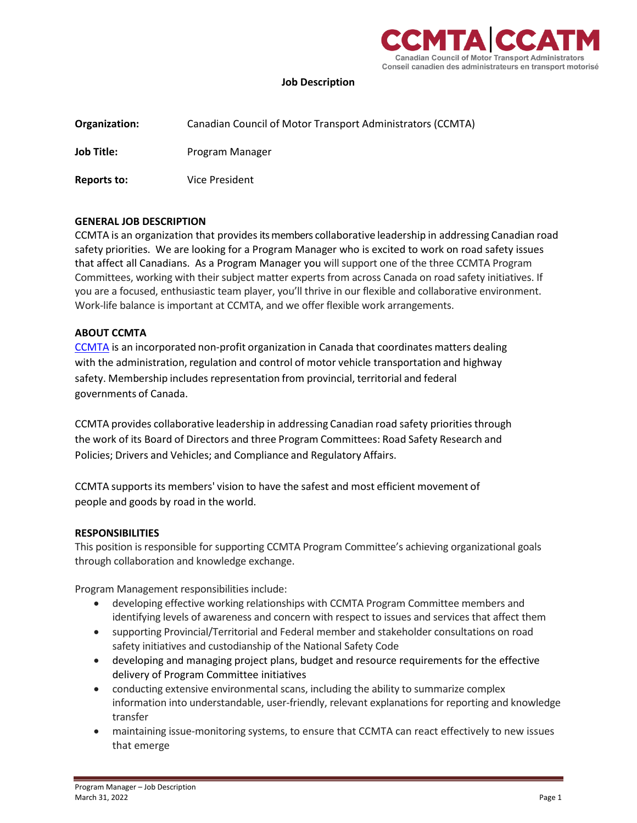

# **Job Description**

| Organization: | Canadian Council of Motor Transport Administrators (CCMTA) |
|---------------|------------------------------------------------------------|
| Job Title:    | Program Manager                                            |
| Reports to:   | Vice President                                             |

# **GENERAL JOB DESCRIPTION**

CCMTA is an organization that providesits members collaborative leadership in addressing Canadian road safety priorities. We are looking for a Program Manager who is excited to work on road safety issues that affect all Canadians. As a Program Manager you will support one of the three CCMTA Program Committees, working with their subject matter experts from across Canada on road safety initiatives. If you are a focused, enthusiastic team player, you'll thrive in our flexible and collaborative environment. Work-life balance is important at CCMTA, and we offer flexible work arrangements.

## **ABOUT CCMTA**

[CCMTA](https://www.ccmta.ca/en/) is an incorporated non‐profit organization in Canada that coordinates matters dealing with the administration, regulation and control of motor vehicle transportation and highway safety. Membership includes representation from provincial, territorial and federal governments of Canada.

CCMTA provides collaborative leadership in addressing Canadian road safety priorities through the work of its Board of Directors and three Program Committees: Road Safety Research and Policies; Drivers and Vehicles; and Compliance and Regulatory Affairs.

CCMTA supports its members' vision to have the safest and most efficient movement of people and goods by road in the world.

## **RESPONSIBILITIES**

This position is responsible for supporting CCMTA Program Committee's achieving organizational goals through collaboration and knowledge exchange.

Program Management responsibilities include:

- developing effective working relationships with CCMTA Program Committee members and identifying levels of awareness and concern with respect to issues and services that affect them
- supporting Provincial/Territorial and Federal member and stakeholder consultations on road safety initiatives and custodianship of the National Safety Code
- developing and managing project plans, budget and resource requirements for the effective delivery of Program Committee initiatives
- conducting extensive environmental scans, including the ability to summarize complex information into understandable, user-friendly, relevant explanations for reporting and knowledge transfer
- maintaining issue-monitoring systems, to ensure that CCMTA can react effectively to new issues that emerge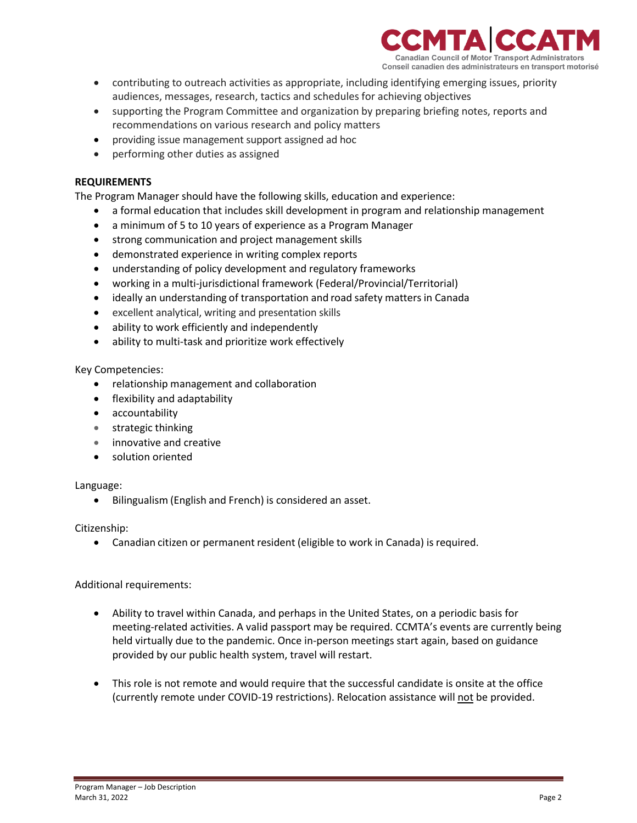

- contributing to outreach activities as appropriate, including identifying emerging issues, priority audiences, messages, research, tactics and schedules for achieving objectives
- supporting the Program Committee and organization by preparing briefing notes, reports and recommendations on various research and policy matters
- providing issue management support assigned ad hoc
- performing other duties as assigned

# **REQUIREMENTS**

The Program Manager should have the following skills, education and experience:

- a formal education that includes skill development in program and relationship management
- a minimum of 5 to 10 years of experience as a Program Manager
- strong communication and project management skills
- demonstrated experience in writing complex reports
- understanding of policy development and regulatory frameworks
- working in a multi-jurisdictional framework (Federal/Provincial/Territorial)
- ideally an understanding of transportation and road safety matters in Canada
- excellent analytical, writing and presentation skills
- ability to work efficiently and independently
- ability to multi-task and prioritize work effectively

# Key Competencies:

- relationship management and collaboration
- flexibility and adaptability
- accountability
- strategic thinking
- innovative and creative
- solution oriented

## Language:

• Bilingualism (English and French) is considered an asset.

## Citizenship:

• Canadian citizen or permanent resident (eligible to work in Canada) is required.

## Additional requirements:

- Ability to travel within Canada, and perhaps in the United States, on a periodic basis for meeting-related activities. A valid passport may be required. CCMTA's events are currently being held virtually due to the pandemic. Once in-person meetings start again, based on guidance provided by our public health system, travel will restart.
- This role is not remote and would require that the successful candidate is onsite at the office (currently remote under COVID-19 restrictions). Relocation assistance will not be provided.